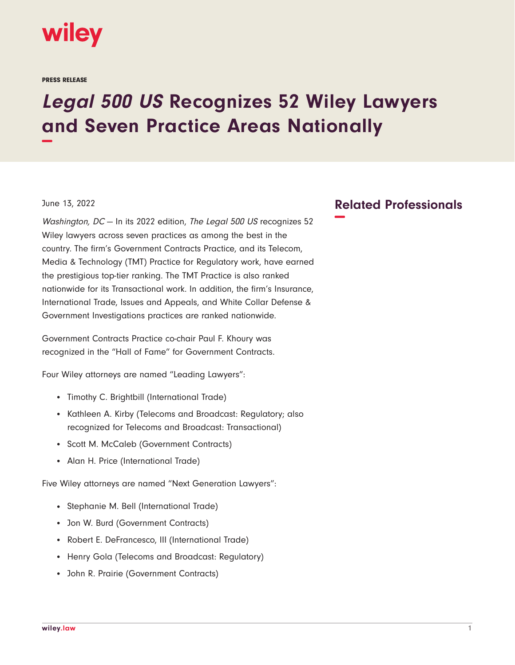

PRESS RELEASE

## **Legal 500 US Recognizes 52 Wiley Lawyers and Seven Practice Areas Nationally −**

## June 13, 2022

Washington, DC - In its 2022 edition, The Legal 500 US recognizes 52 Wiley lawyers across seven practices as among the best in the country. The firm's Government Contracts Practice, and its Telecom, Media & Technology (TMT) Practice for Regulatory work, have earned the prestigious top-tier ranking. The TMT Practice is also ranked nationwide for its Transactional work. In addition, the firm's Insurance, International Trade, Issues and Appeals, and White Collar Defense & Government Investigations practices are ranked nationwide.

Government Contracts Practice co-chair Paul F. Khoury was recognized in the "Hall of Fame" for Government Contracts.

Four Wiley attorneys are named "Leading Lawyers":

- Timothy C. Brightbill (International Trade)
- Kathleen A. Kirby (Telecoms and Broadcast: Regulatory; also recognized for Telecoms and Broadcast: Transactional)
- Scott M. McCaleb (Government Contracts)
- Alan H. Price (International Trade)

Five Wiley attorneys are named "Next Generation Lawyers":

- Stephanie M. Bell (International Trade)
- Jon W. Burd (Government Contracts)
- Robert E. DeFrancesco, III (International Trade)
- Henry Gola (Telecoms and Broadcast: Regulatory)
- John R. Prairie (Government Contracts)

## **Related Professionals −**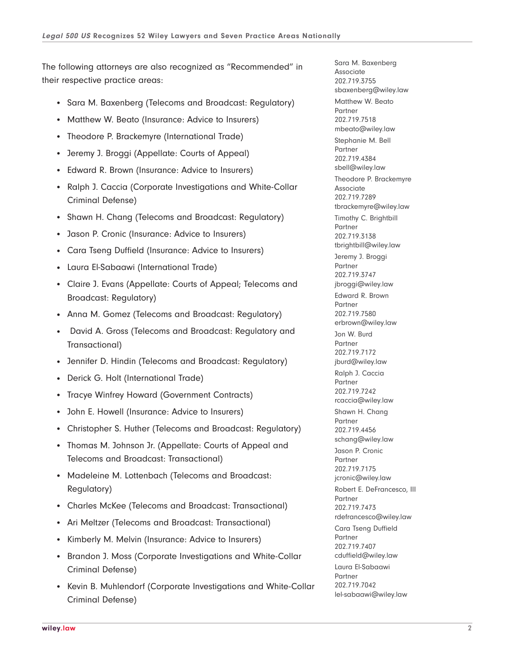The following attorneys are also recognized as "Recommended" in their respective practice areas:

- Sara M. Baxenberg (Telecoms and Broadcast: Regulatory)
- Matthew W. Beato (Insurance: Advice to Insurers)
- Theodore P. Brackemyre (International Trade)
- Jeremy J. Broggi (Appellate: Courts of Appeal)
- Edward R. Brown (Insurance: Advice to Insurers)
- Ralph J. Caccia (Corporate Investigations and White-Collar Criminal Defense)
- Shawn H. Chang (Telecoms and Broadcast: Regulatory)
- Jason P. Cronic (Insurance: Advice to Insurers)
- Cara Tseng Duffield (Insurance: Advice to Insurers)
- Laura El-Sabaawi (International Trade)
- Claire J. Evans (Appellate: Courts of Appeal; Telecoms and Broadcast: Regulatory)
- Anna M. Gomez (Telecoms and Broadcast: Regulatory)
- David A. Gross (Telecoms and Broadcast: Regulatory and Transactional)
- Jennifer D. Hindin (Telecoms and Broadcast: Regulatory)
- Derick G. Holt (International Trade)
- Tracye Winfrey Howard (Government Contracts)
- John E. Howell (Insurance: Advice to Insurers)
- Christopher S. Huther (Telecoms and Broadcast: Regulatory)
- Thomas M. Johnson Jr. (Appellate: Courts of Appeal and Telecoms and Broadcast: Transactional)
- Madeleine M. Lottenbach (Telecoms and Broadcast: Regulatory)
- Charles McKee (Telecoms and Broadcast: Transactional)
- Ari Meltzer (Telecoms and Broadcast: Transactional)
- Kimberly M. Melvin (Insurance: Advice to Insurers)
- Brandon J. Moss (Corporate Investigations and White-Collar Criminal Defense)
- Kevin B. Muhlendorf (Corporate Investigations and White-Collar Criminal Defense)

Sara M. Baxenberg Associate 202.719.3755 sbaxenberg@wiley.law Matthew W. Beato Partner 202.719.7518 mbeato@wiley.law Stephanie M. Bell Partner 202.719.4384 sbell@wiley.law Theodore P. Brackemyre Associate 202.719.7289 tbrackemyre@wiley.law Timothy C. Brightbill Partner 202.719.3138 tbrightbill@wiley.law Jeremy J. Broggi Partner 202.719.3747 jbroggi@wiley.law Edward R. Brown Partner 202.719.7580 erbrown@wiley.law Jon W. Burd Partner 202.719.7172 jburd@wiley.law Ralph J. Caccia Partner 202.719.7242 rcaccia@wiley.law Shawn H. Chang Partner 202.719.4456 schang@wiley.law Jason P. Cronic Partner 202.719.7175 jcronic@wiley.law Robert E. DeFrancesco, III Partner 202.719.7473 rdefrancesco@wiley.law Cara Tseng Duffield Partner 202.719.7407 cduffield@wiley.law Laura El-Sabaawi Partner 202.719.7042 lel-sabaawi@wiley.law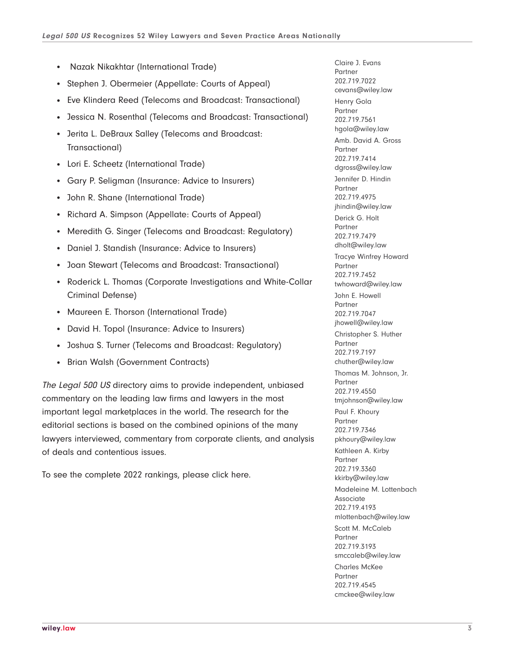- Nazak Nikakhtar (International Trade)
- Stephen J. Obermeier (Appellate: Courts of Appeal)
- Eve Klindera Reed (Telecoms and Broadcast: Transactional)
- Jessica N. Rosenthal (Telecoms and Broadcast: Transactional)
- Jerita L. DeBraux Salley (Telecoms and Broadcast: Transactional)
- Lori E. Scheetz (International Trade)
- Gary P. Seligman (Insurance: Advice to Insurers)
- John R. Shane (International Trade)
- Richard A. Simpson (Appellate: Courts of Appeal)
- Meredith G. Singer (Telecoms and Broadcast: Regulatory)
- Daniel J. Standish (Insurance: Advice to Insurers)
- Joan Stewart (Telecoms and Broadcast: Transactional)
- Roderick L. Thomas (Corporate Investigations and White-Collar Criminal Defense)
- Maureen E. Thorson (International Trade)
- David H. Topol (Insurance: Advice to Insurers)
- Joshua S. Turner (Telecoms and Broadcast: Regulatory)
- Brian Walsh (Government Contracts)

The Legal 500 US directory aims to provide independent, unbiased commentary on the leading law firms and lawyers in the most important legal marketplaces in the world. The research for the editorial sections is based on the combined opinions of the many lawyers interviewed, commentary from corporate clients, and analysis of deals and contentious issues.

To see the complete 2022 rankings, please click here.

Claire J. Evans Partner 202.719.7022 cevans@wiley.law Henry Gola Partner 202.719.7561 hgola@wiley.law Amb. David A. Gross Partner 202.719.7414 dgross@wiley.law Jennifer D. Hindin Partner 202.719.4975 jhindin@wiley.law Derick G. Holt Partner 202.719.7479 dholt@wiley.law Tracye Winfrey Howard Partner 202.719.7452 twhoward@wiley.law John E. Howell Partner 202.719.7047 jhowell@wiley.law Christopher S. Huther Partner 202.719.7197 chuther@wiley.law Thomas M. Johnson, Jr. Partner 202.719.4550 tmjohnson@wiley.law Paul F. Khoury Partner 202.719.7346 pkhoury@wiley.law Kathleen A. Kirby Partner 202.719.3360 kkirby@wiley.law Madeleine M. Lottenbach Associate 202.719.4193 mlottenbach@wiley.law Scott M. McCaleb Partner 202.719.3193 smccaleb@wiley.law Charles McKee Partner 202.719.4545 cmckee@wiley.law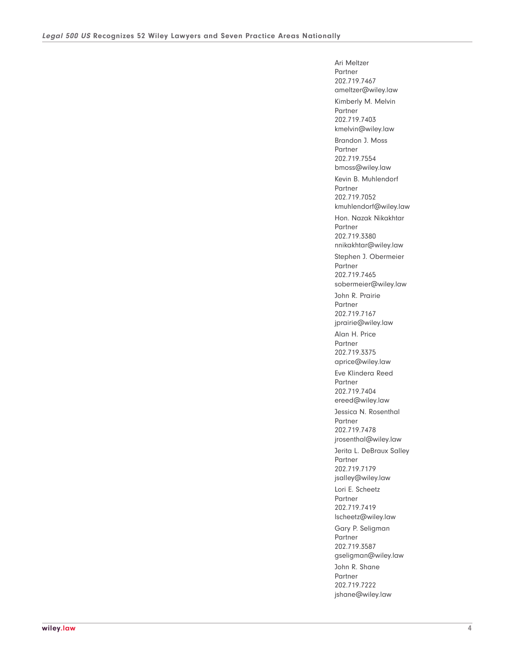Ari Meltzer Partner 202.719.7467 ameltzer@wiley.law Kimberly M. Melvin Partner 202.719.7403 kmelvin@wiley.law Brandon J. Moss Partner 202.719.7554 bmoss@wiley.law Kevin B. Muhlendorf Partner 202.719.7052 kmuhlendorf@wiley.law Hon. Nazak Nikakhtar Partner 202.719.3380 nnikakhtar@wiley.law Stephen J. Obermeier Partner 202.719.7465 sobermeier@wiley.law John R. Prairie Partner 202.719.7167 jprairie@wiley.law Alan H. Price Partner 202.719.3375 aprice@wiley.law Eve Klindera Reed Partner 202.719.7404 ereed@wiley.law Jessica N. Rosenthal Partner 202.719.7478 jrosenthal@wiley.law Jerita L. DeBraux Salley Partner 202.719.7179 jsalley@wiley.law Lori E. Scheetz Partner 202.719.7419 lscheetz@wiley.law Gary P. Seligman **Partner** 202.719.3587 gseligman@wiley.law John R. Shane Partner 202.719.7222 jshane@wiley.law